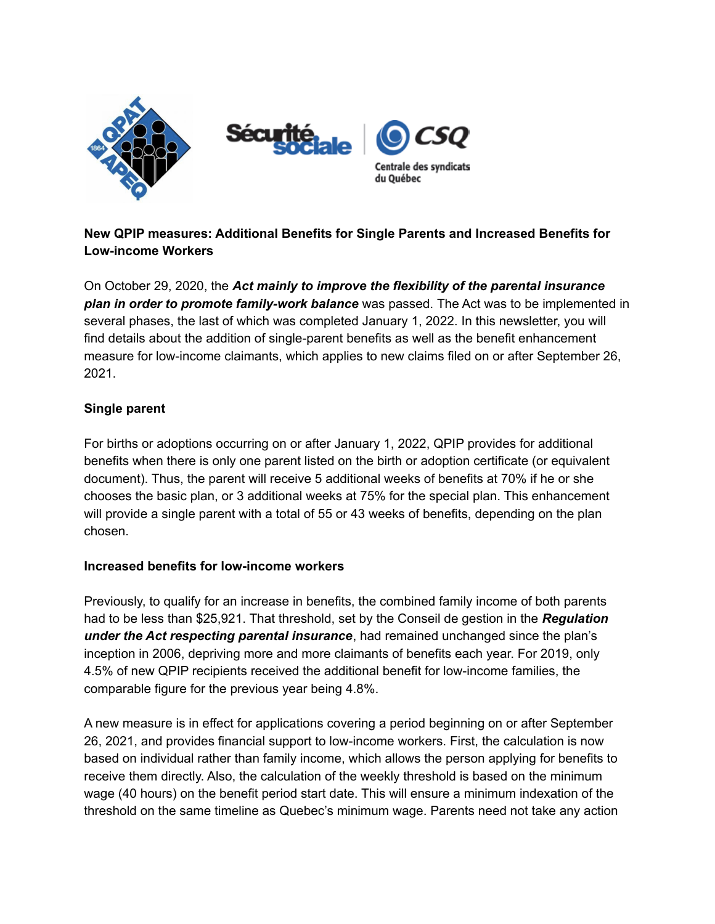

# **New QPIP measures: Additional Benefits for Single Parents and Increased Benefits for Low-income Workers**

On October 29, 2020, the *Act mainly to improve the flexibility of the parental insurance plan in order to promote family-work balance* was passed. The Act was to be implemented in several phases, the last of which was completed January 1, 2022. In this newsletter, you will find details about the addition of single-parent benefits as well as the benefit enhancement measure for low-income claimants, which applies to new claims filed on or after September 26, 2021.

## **Single parent**

For births or adoptions occurring on or after January 1, 2022, QPIP provides for additional benefits when there is only one parent listed on the birth or adoption certificate (or equivalent document). Thus, the parent will receive 5 additional weeks of benefits at 70% if he or she chooses the basic plan, or 3 additional weeks at 75% for the special plan. This enhancement will provide a single parent with a total of 55 or 43 weeks of benefits, depending on the plan chosen.

### **Increased benefits for low-income workers**

Previously, to qualify for an increase in benefits, the combined family income of both parents had to be less than \$25,921. That threshold, set by the Conseil de gestion in the *Regulation under the Act respecting parental insurance*, had remained unchanged since the plan's inception in 2006, depriving more and more claimants of benefits each year. For 2019, only 4.5% of new QPIP recipients received the additional benefit for low-income families, the comparable figure for the previous year being 4.8%.

A new measure is in effect for applications covering a period beginning on or after September 26, 2021, and provides financial support to low-income workers. First, the calculation is now based on individual rather than family income, which allows the person applying for benefits to receive them directly. Also, the calculation of the weekly threshold is based on the minimum wage (40 hours) on the benefit period start date. This will ensure a minimum indexation of the threshold on the same timeline as Quebec's minimum wage. Parents need not take any action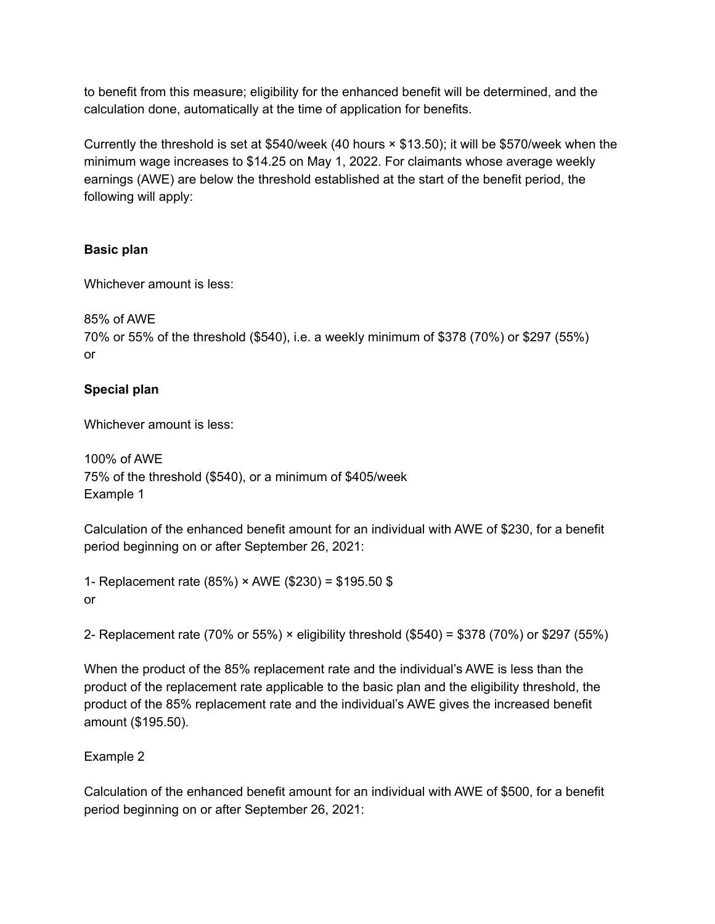to benefit from this measure; eligibility for the enhanced benefit will be determined, and the calculation done, automatically at the time of application for benefits.

Currently the threshold is set at \$540/week (40 hours × \$13.50); it will be \$570/week when the minimum wage increases to \$14.25 on May 1, 2022. For claimants whose average weekly earnings (AWE) are below the threshold established at the start of the benefit period, the following will apply:

## **Basic plan**

Whichever amount is less:

85% of AWE 70% or 55% of the threshold (\$540), i.e. a weekly minimum of \$378 (70%) or \$297 (55%) or

## **Special plan**

Whichever amount is less:

100% of AWE 75% of the threshold (\$540), or a minimum of \$405/week Example 1

Calculation of the enhanced benefit amount for an individual with AWE of \$230, for a benefit period beginning on or after September 26, 2021:

1- Replacement rate (85%) × AWE (\$230) = \$195.50 \$ or

2- Replacement rate (70% or 55%) × eligibility threshold (\$540) = \$378 (70%) or \$297 (55%)

When the product of the 85% replacement rate and the individual's AWE is less than the product of the replacement rate applicable to the basic plan and the eligibility threshold, the product of the 85% replacement rate and the individual's AWE gives the increased benefit amount (\$195.50).

### Example 2

Calculation of the enhanced benefit amount for an individual with AWE of \$500, for a benefit period beginning on or after September 26, 2021: